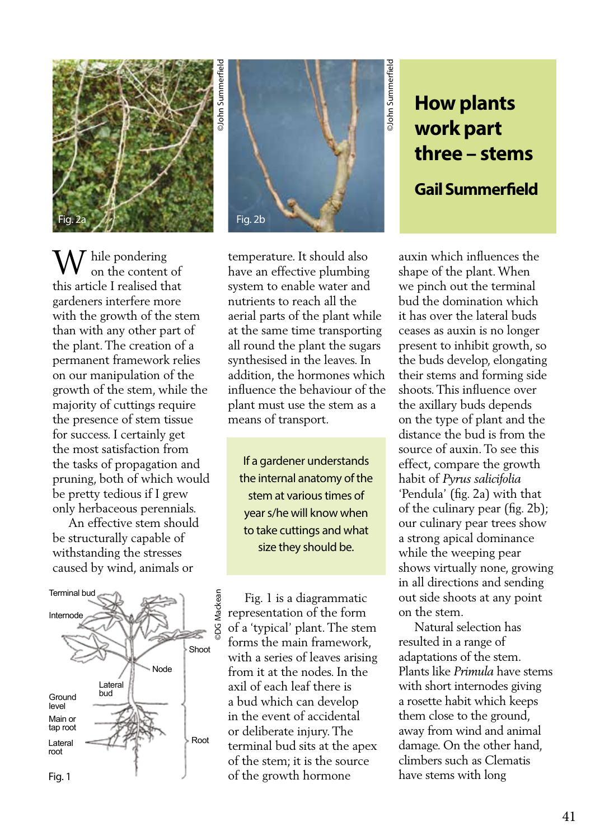

Fig. 2b

**How plants work part three – stems Gail Summerfield**

©John Summerfield

**OJohn Summerfield** 

W hile pondering<br>on the content on the content of this article I realised that gardeners interfere more with the growth of the stem than with any other part of the plant. The creation of a permanent framework relies on our manipulation of the growth of the stem, while the majority of cuttings require the presence of stem tissue for success. I certainly get the most satisfaction from the tasks of propagation and pruning, both of which would be pretty tedious if I grew only herbaceous perennials.

 An effective stem should be structurally capable of withstanding the stresses caused by wind, animals or



temperature. It should also have an effective plumbing system to enable water and nutrients to reach all the aerial parts of the plant while at the same time transporting all round the plant the sugars synthesised in the leaves. In addition, the hormones which influence the behaviour of the plant must use the stem as a means of transport.

If a gardener understands the internal anatomy of the stem at various times of year s/he will know when to take cuttings and what size they should be.

 Fig. 1 is a diagrammatic representation of the form of a 'typical' plant. The stem forms the main framework, with a series of leaves arising from it at the nodes. In the axil of each leaf there is a bud which can develop in the event of accidental or deliberate injury. The terminal bud sits at the apex of the stem; it is the source of the growth hormone

auxin which influences the shape of the plant. When we pinch out the terminal bud the domination which it has over the lateral buds ceases as auxin is no longer present to inhibit growth, so the buds develop, elongating their stems and forming side shoots. This influence over the axillary buds depends on the type of plant and the distance the bud is from the source of auxin. To see this effect, compare the growth habit of *Pyrus salicifolia* 'Pendula' (fig. 2a) with that of the culinary pear (fig. 2b); our culinary pear trees show a strong apical dominance while the weeping pear shows virtually none, growing in all directions and sending out side shoots at any point on the stem.

 Natural selection has resulted in a range of adaptations of the stem. Plants like *Primula* have stems with short internodes giving a rosette habit which keeps them close to the ground, away from wind and animal damage. On the other hand, climbers such as Clematis have stems with long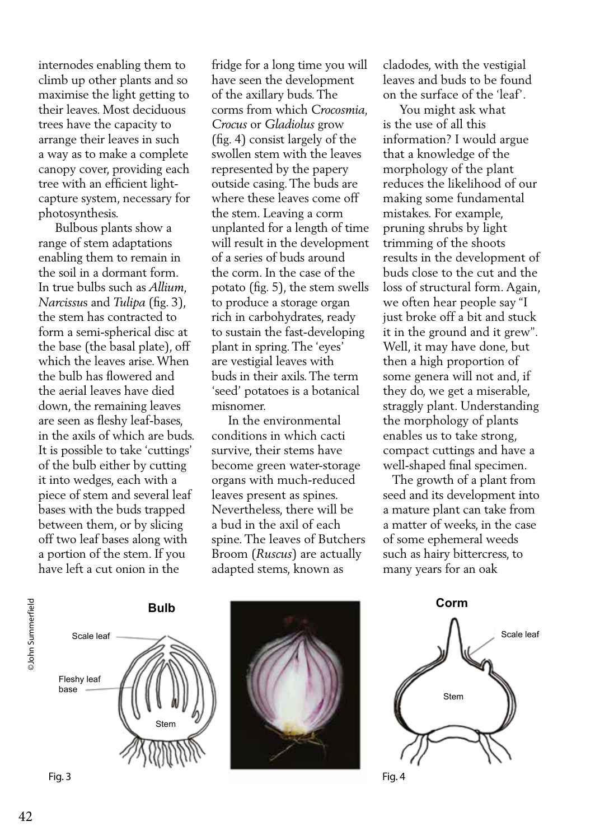internodes enabling them to climb up other plants and so maximise the light getting to their leaves. Most deciduous trees have the capacity to arrange their leaves in such a way as to make a complete canopy cover, providing each tree with an efficient lightcapture system, necessary for photosynthesis.

 Bulbous plants show a range of stem adaptations enabling them to remain in the soil in a dormant form. In true bulbs such as *Allium, Narcissu*s and *Tulipa* (fig. 3), the stem has contracted to form a semi-spherical disc at the base (the basal plate), off which the leaves arise. When the bulb has flowered and the aerial leaves have died down, the remaining leaves are seen as fleshy leaf-bases, in the axils of which are buds. It is possible to take 'cuttings' of the bulb either by cutting it into wedges, each with a piece of stem and several leaf bases with the buds trapped between them, or by slicing off two leaf bases along with a portion of the stem. If you have left a cut onion in the

fridge for a long time you will have seen the development of the axillary buds. The corms from which *Crocosmia, Crocus* or *Gladiolus* grow (fig. 4) consist largely of the swollen stem with the leaves represented by the papery outside casing. The buds are where these leaves come off the stem. Leaving a corm unplanted for a length of time will result in the development of a series of buds around the corm. In the case of the potato (fig. 5), the stem swells to produce a storage organ rich in carbohydrates, ready to sustain the fast-developing plant in spring. The 'eyes' are vestigial leaves with buds in their axils. The term 'seed' potatoes is a botanical misnomer.

 In the environmental conditions in which cacti survive, their stems have become green water-storage organs with much-reduced leaves present as spines. Nevertheless, there will be a bud in the axil of each spine. The leaves of Butchers Broom (*Ruscus*) are actually adapted stems, known as

cladodes, with the vestigial leaves and buds to be found on the surface of the 'leaf'.

 You might ask what is the use of all this information? I would argue that a knowledge of the morphology of the plant reduces the likelihood of our making some fundamental mistakes. For example, pruning shrubs by light trimming of the shoots results in the development of buds close to the cut and the loss of structural form. Again, we often hear people say "I just broke off a bit and stuck it in the ground and it grew". Well, it may have done, but then a high proportion of some genera will not and, if they do, we get a miserable, straggly plant. Understanding the morphology of plants enables us to take strong, compact cuttings and have a well-shaped final specimen.

 The growth of a plant from seed and its development into a mature plant can take from a matter of weeks, in the case of some ephemeral weeds such as hairy bittercress, to many years for an oak

Stem







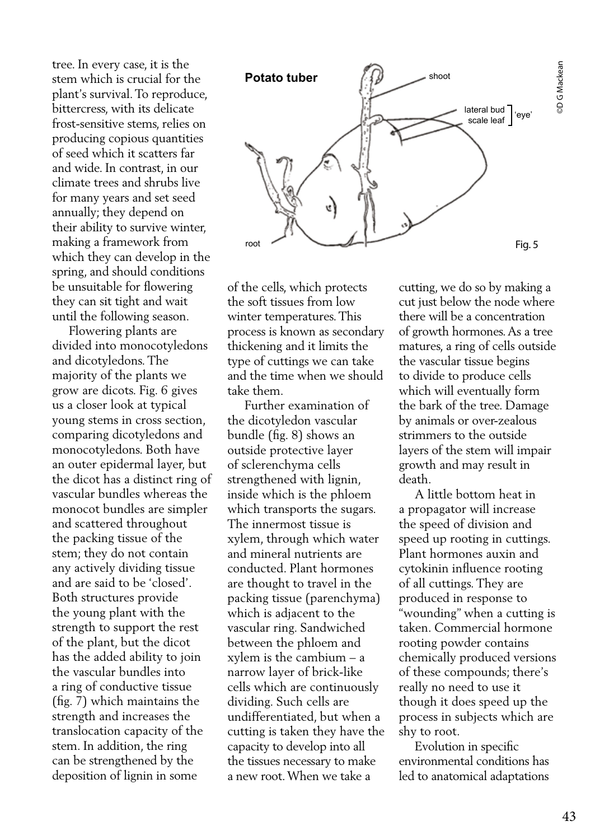tree. In every case, it is the stem which is crucial for the plant's survival. To reproduce, bittercress, with its delicate frost-sensitive stems, relies on producing copious quantities of seed which it scatters far and wide. In contrast, in our climate trees and shrubs live for many years and set seed annually; they depend on their ability to survive winter, making a framework from which they can develop in the spring, and should conditions be unsuitable for flowering they can sit tight and wait until the following season.

 Flowering plants are divided into monocotyledons and dicotyledons. The majority of the plants we grow are dicots. Fig. 6 gives us a closer look at typical young stems in cross section, comparing dicotyledons and monocotyledons. Both have an outer epidermal layer, but the dicot has a distinct ring of vascular bundles whereas the monocot bundles are simpler and scattered throughout the packing tissue of the stem; they do not contain any actively dividing tissue and are said to be 'closed'. Both structures provide the young plant with the strength to support the rest of the plant, but the dicot has the added ability to join the vascular bundles into a ring of conductive tissue (fig. 7) which maintains the strength and increases the translocation capacity of the stem. In addition, the ring can be strengthened by the deposition of lignin in some



of the cells, which protects the soft tissues from low winter temperatures. This process is known as secondary thickening and it limits the type of cuttings we can take and the time when we should take them.

 Further examination of the dicotyledon vascular bundle (fig. 8) shows an outside protective layer of sclerenchyma cells strengthened with lignin, inside which is the phloem which transports the sugars. The innermost tissue is xylem, through which water and mineral nutrients are conducted. Plant hormones are thought to travel in the packing tissue (parenchyma) which is adjacent to the vascular ring. Sandwiched between the phloem and xylem is the cambium – a narrow layer of brick-like cells which are continuously dividing. Such cells are undifferentiated, but when a cutting is taken they have the capacity to develop into all the tissues necessary to make a new root. When we take a

cutting, we do so by making a cut just below the node where there will be a concentration of growth hormones. As a tree matures, a ring of cells outside the vascular tissue begins to divide to produce cells which will eventually form the bark of the tree. Damage by animals or over-zealous strimmers to the outside layers of the stem will impair growth and may result in death.

 A little bottom heat in a propagator will increase the speed of division and speed up rooting in cuttings. Plant hormones auxin and cytokinin influence rooting of all cuttings. They are produced in response to "wounding" when a cutting is taken. Commercial hormone rooting powder contains chemically produced versions of these compounds; there's really no need to use it though it does speed up the process in subjects which are shy to root.

 Evolution in specific environmental conditions has led to anatomical adaptations